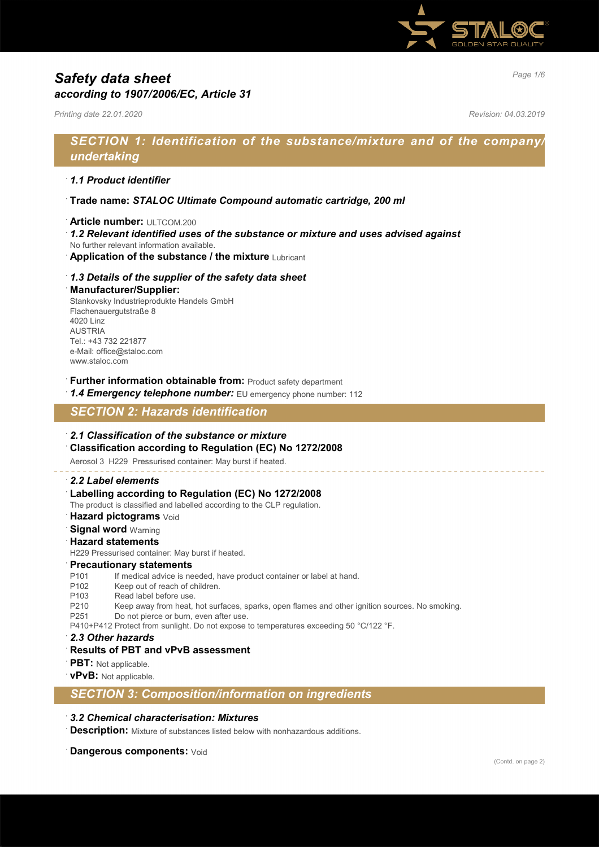

# *Page 1/6 Safety data sheet according to 1907/2006/EC, Article 31*

*Printing date 22.01.2020 Revision: 04.03.2019*

## *SECTION 1: Identification of the substance/mixture and of the company/ undertaking*

### · *1.1 Product identifier*

- · **Trade name:** *STALOC Ultimate Compound automatic cartridge, 200 ml*
- · **Article number:** ULTCOM.200
- · *1.2 Relevant identified uses of the substance or mixture and uses advised against*
- No further relevant information available.
- **Application of the substance / the mixture Lubricant**

### · *1.3 Details of the supplier of the safety data sheet*

#### · **Manufacturer/Supplier:**

Stankovsky Industrieprodukte Handels GmbH Flachenauergutstraße 8 4020 Linz AUSTRIA Tel.: +43 732 221877 e-Mail: office@staloc.com www.staloc.com

- **Further information obtainable from:** Product safety department
- 1.4 **Emergency telephone number:** EU emergency phone number: 112

## *SECTION 2: Hazards identification*

### · *2.1 Classification of the substance or mixture*

· **Classification according to Regulation (EC) No 1272/2008**

Aerosol 3 H229 Pressurised container: May burst if heated.

#### · *2.2 Label elements*

Labelling according to Regulation (EC) No 1272/2008

The product is classified and labelled according to the CLP regulation.

- **Hazard pictograms** Void
- **Signal word Warning**

#### · **Hazard statements**

H229 Pressurised container: May burst if heated.

#### · **Precautionary statements**

P101 If medical advice is needed, have product container or label at hand.

- P102 Keep out of reach of children.
- P103 Read label before use.
- P210 Keep away from heat, hot surfaces, sparks, open flames and other ignition sources. No smoking.
- P251 Do not pierce or burn, even after use.
- P410+P412 Protect from sunlight. Do not expose to temperatures exceeding 50 °C/122 °F.
- · *2.3 Other hazards*
- · **Results of PBT and vPvB assessment**
- · **PBT:** Not applicable.
- · **vPvB:** Not applicable.

*SECTION 3: Composition/information on ingredients*

#### · *3.2 Chemical characterisation: Mixtures*

**Description:** Mixture of substances listed below with nonhazardous additions.

**Dangerous components: Void**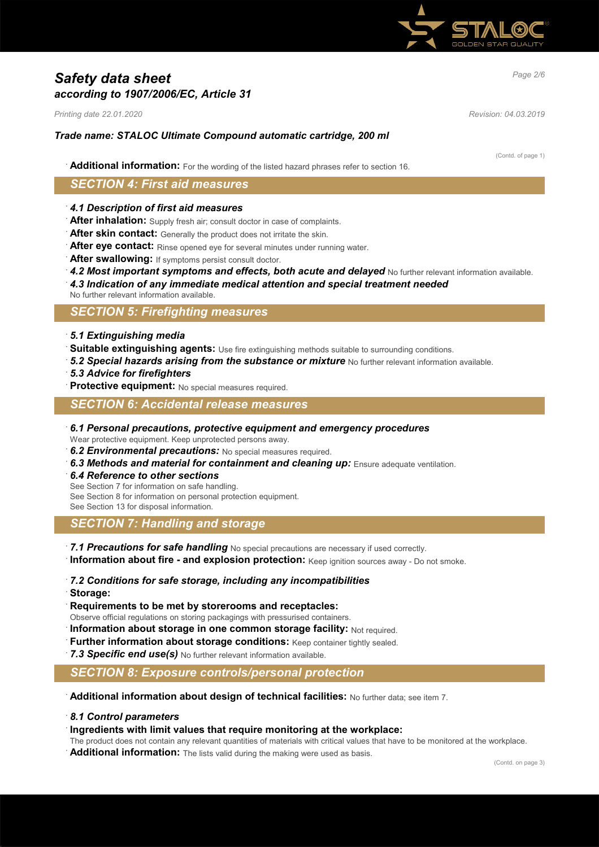

# *Page 2/6 Safety data sheet according to 1907/2006/EC, Article 31*

*Printing date 22.01.2020 Revision: 04.03.2019*

### *Trade name: STALOC Ultimate Compound automatic cartridge, 200 ml*

(Contd. of page 1)

· **Additional information:** For the wording of the listed hazard phrases refer to section 16.

## *SECTION 4: First aid measures*

- · *4.1 Description of first aid measures*
- After inhalation: Supply fresh air; consult doctor in case of complaints.
- **After skin contact:** Generally the product does not irritate the skin.
- · **After eye contact:** Rinse opened eye for several minutes under running water.
- After swallowing: If symptoms persist consult doctor.
- 4.2 Most important symptoms and effects, both acute and delayed No further relevant information available.
- · *4.3 Indication of any immediate medical attention and special treatment needed*
- No further relevant information available.

## *SECTION 5: Firefighting measures*

- · *5.1 Extinguishing media*
- Suitable extinguishing agents: Use fire extinguishing methods suitable to surrounding conditions.
- **5.2 Special hazards arising from the substance or mixture** No further relevant information available.
- · *5.3 Advice for firefighters*
- · **Protective equipment:** No special measures required.

### *SECTION 6: Accidental release measures*

- · *6.1 Personal precautions, protective equipment and emergency procedures* Wear protective equipment. Keep unprotected persons away.
- · *6.2 Environmental precautions:* No special measures required.
- 6.3 Methods and material for containment and cleaning up: Ensure adequate ventilation.
- · *6.4 Reference to other sections*
- See Section 7 for information on safe handling.

See Section 8 for information on personal protection equipment.

See Section 13 for disposal information.

## *SECTION 7: Handling and storage*

- · *7.1 Precautions for safe handling* No special precautions are necessary if used correctly.
- · **Information about fire and explosion protection:** Keep ignition sources away Do not smoke.
- · *7.2 Conditions for safe storage, including any incompatibilities* · **Storage:**
- · **Requirements to be met by storerooms and receptacles:**
- Observe official regulations on storing packagings with pressurised containers.
- **Information about storage in one common storage facility:** Not required.
- **Further information about storage conditions:** Keep container tightly sealed.
- 7.3 Specific end use(s) No further relevant information available.

## *SECTION 8: Exposure controls/personal protection*

- · **Additional information about design of technical facilities:** No further data; see item 7.
- · *8.1 Control parameters*
- · **Ingredients with limit values that require monitoring at the workplace:**
- The product does not contain any relevant quantities of materials with critical values that have to be monitored at the workplace.
- Additional information: The lists valid during the making were used as basis.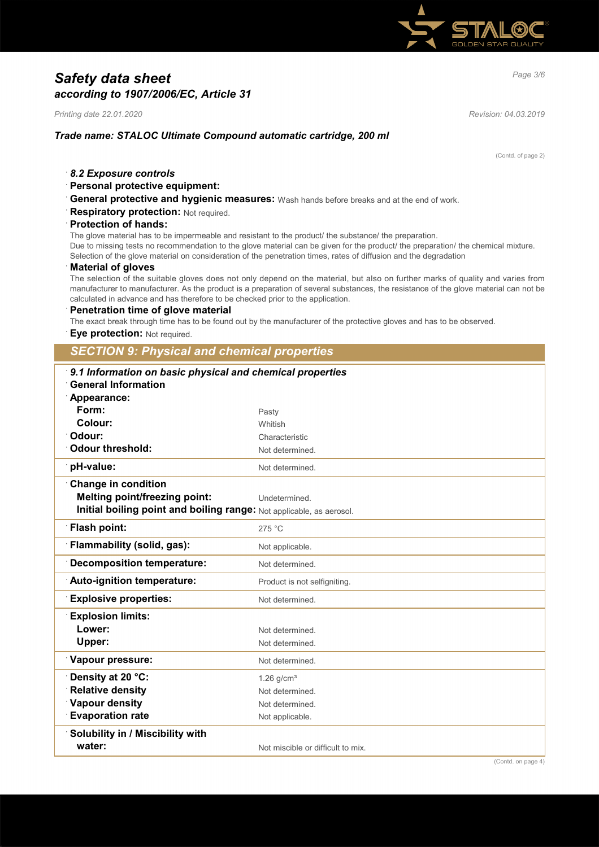

# *Page 3/6 Safety data sheet according to 1907/2006/EC, Article 31*

*Printing date 22.01.2020 Revision: 04.03.2019*

## *Trade name: STALOC Ultimate Compound automatic cartridge, 200 ml*

(Contd. of page 2)

· *8.2 Exposure controls*

### · **Personal protective equipment:**

- · **General protective and hygienic measures:** Wash hands before breaks and at the end of work.
- **Respiratory protection: Not required.**

#### · **Protection of hands:**

The glove material has to be impermeable and resistant to the product/ the substance/ the preparation. Due to missing tests no recommendation to the glove material can be given for the product/ the preparation/ the chemical mixture. Selection of the glove material on consideration of the penetration times, rates of diffusion and the degradation

#### · **Material of gloves**

The selection of the suitable gloves does not only depend on the material, but also on further marks of quality and varies from manufacturer to manufacturer. As the product is a preparation of several substances, the resistance of the glove material can not be calculated in advance and has therefore to be checked prior to the application.

· **Penetration time of glove material**

The exact break through time has to be found out by the manufacturer of the protective gloves and has to be observed.

**Eye protection: Not required.** 

*SECTION 9: Physical and chemical properties*

| 9.1 Information on basic physical and chemical properties<br><b>General Information</b> |                                   |  |
|-----------------------------------------------------------------------------------------|-----------------------------------|--|
| Appearance:<br>Form:                                                                    |                                   |  |
| Colour:                                                                                 | Pasty                             |  |
| Odour:                                                                                  | Whitish                           |  |
|                                                                                         | Characteristic                    |  |
| <b>Odour threshold:</b>                                                                 | Not determined.                   |  |
| pH-value:                                                                               | Not determined.                   |  |
| <b>Change in condition</b>                                                              |                                   |  |
| <b>Melting point/freezing point:</b>                                                    | Undetermined.                     |  |
| Initial boiling point and boiling range: Not applicable, as aerosol.                    |                                   |  |
| <b>Flash point:</b>                                                                     | 275 °C                            |  |
| Flammability (solid, gas):                                                              | Not applicable.                   |  |
| <b>Decomposition temperature:</b>                                                       | Not determined.                   |  |
| Auto-ignition temperature:                                                              | Product is not selfigniting.      |  |
| <b>Explosive properties:</b>                                                            | Not determined.                   |  |
| <b>Explosion limits:</b>                                                                |                                   |  |
| Lower:                                                                                  | Not determined.                   |  |
| <b>Upper:</b>                                                                           | Not determined.                   |  |
| Vapour pressure:                                                                        | Not determined.                   |  |
| Density at 20 °C:                                                                       | $1.26$ g/cm <sup>3</sup>          |  |
| <b>Relative density</b>                                                                 | Not determined.                   |  |
| <b>Vapour density</b>                                                                   | Not determined.                   |  |
| <b>Evaporation rate</b>                                                                 | Not applicable.                   |  |
| Solubility in / Miscibility with                                                        |                                   |  |
| water:                                                                                  | Not miscible or difficult to mix. |  |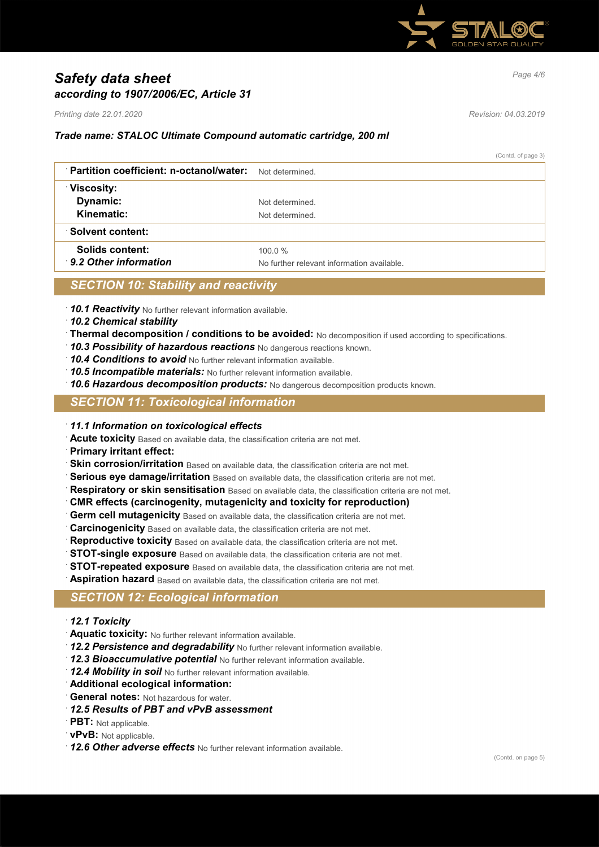

# *Page 4/6 Safety data sheet according to 1907/2006/EC, Article 31*

*Printing date 22.01.2020 Revision: 04.03.2019*

## *Trade name: STALOC Ultimate Compound automatic cartridge, 200 ml*

(Contd. of page 3)

| Partition coefficient: n-octanol/water: | Not determined                             |
|-----------------------------------------|--------------------------------------------|
| Viscosity:                              |                                            |
| Dynamic:                                | Not determined                             |
| Kinematic:                              | Not determined.                            |
| <b>Solvent content:</b>                 |                                            |
| Solids content:                         | $100.0 \%$                                 |
| 9.2 Other information                   | No further relevant information available. |

## *SECTION 10: Stability and reactivity*

· *10.1 Reactivity* No further relevant information available.

- · *10.2 Chemical stability*
- · **Thermal decomposition / conditions to be avoided:** No decomposition if used according to specifications.
- · *10.3 Possibility of hazardous reactions* No dangerous reactions known.
- · *10.4 Conditions to avoid* No further relevant information available.
- · *10.5 Incompatible materials:* No further relevant information available.
- · *10.6 Hazardous decomposition products:* No dangerous decomposition products known.

## *SECTION 11: Toxicological information*

- · *11.1 Information on toxicological effects*
- · **Acute toxicity** Based on available data, the classification criteria are not met.
- · **Primary irritant effect:**
- **Skin corrosion/irritation** Based on available data, the classification criteria are not met.
- Serious eye damage/irritation Based on available data, the classification criteria are not met.
- **Respiratory or skin sensitisation** Based on available data, the classification criteria are not met.
- · **CMR effects (carcinogenity, mutagenicity and toxicity for reproduction)**
- **Germ cell mutagenicity** Based on available data, the classification criteria are not met.
- **Carcinogenicity** Based on available data, the classification criteria are not met.
- Reproductive toxicity Based on available data, the classification criteria are not met.
- **STOT-single exposure** Based on available data, the classification criteria are not met.
- **STOT-repeated exposure** Based on available data, the classification criteria are not met.

Aspiration hazard Based on available data, the classification criteria are not met.

## *SECTION 12: Ecological information*

- · *12.1 Toxicity*
- · **Aquatic toxicity:** No further relevant information available.
- · *12.2 Persistence and degradability* No further relevant information available.
- · *12.3 Bioaccumulative potential* No further relevant information available.
- · *12.4 Mobility in soil* No further relevant information available.
- · **Additional ecological information:**
- · **General notes:** Not hazardous for water.
- · *12.5 Results of PBT and vPvB assessment*
- · **PBT:** Not applicable.
- · **vPvB:** Not applicable.
- · *12.6 Other adverse effects* No further relevant information available.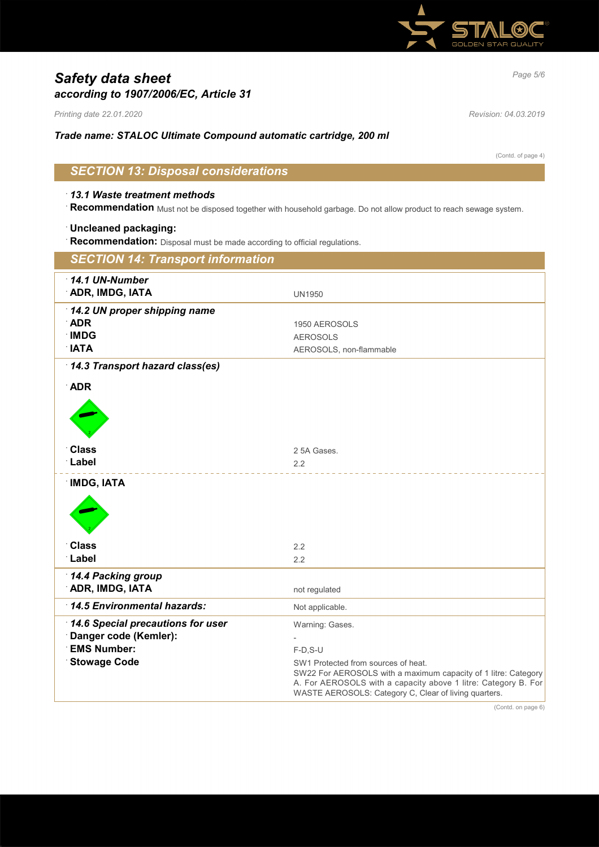

# *Page 5/6 Safety data sheet according to 1907/2006/EC, Article 31*

*Printing date 22.01.2020 Revision: 04.03.2019*

## *Trade name: STALOC Ultimate Compound automatic cartridge, 200 ml*

(Contd. of page 4)

# *SECTION 13: Disposal considerations*

### · *13.1 Waste treatment methods*

· **Recommendation** Must not be disposed together with household garbage. Do not allow product to reach sewage system.

#### · **Uncleaned packaging:**

· **Recommendation:** Disposal must be made according to official regulations.

| <b>SECTION 14: Transport information</b>                                                                |                                                                                                                                                                                                                                                                    |
|---------------------------------------------------------------------------------------------------------|--------------------------------------------------------------------------------------------------------------------------------------------------------------------------------------------------------------------------------------------------------------------|
| $14.1$ UN-Number<br><b>ADR, IMDG, IATA</b>                                                              | <b>UN1950</b>                                                                                                                                                                                                                                                      |
| 14.2 UN proper shipping name<br><b>ADR</b><br><b>IMDG</b><br><b>NATA</b>                                | 1950 AEROSOLS<br><b>AEROSOLS</b><br>AEROSOLS, non-flammable                                                                                                                                                                                                        |
| 14.3 Transport hazard class(es)<br><b>ADR</b>                                                           |                                                                                                                                                                                                                                                                    |
| <b>Class</b><br>Label                                                                                   | 2 5A Gases.<br>2.2                                                                                                                                                                                                                                                 |
| <b>IMDG, IATA</b>                                                                                       |                                                                                                                                                                                                                                                                    |
| <b>Class</b><br>Label                                                                                   | 2.2<br>2.2                                                                                                                                                                                                                                                         |
| 14.4 Packing group<br><b>ADR, IMDG, IATA</b>                                                            | not regulated                                                                                                                                                                                                                                                      |
| 14.5 Environmental hazards:                                                                             | Not applicable.                                                                                                                                                                                                                                                    |
| 14.6 Special precautions for user<br>Danger code (Kemler):<br><b>EMS Number:</b><br><b>Stowage Code</b> | Warning: Gases.<br>$F-D$ , S-U<br>SW1 Protected from sources of heat.<br>SW22 For AEROSOLS with a maximum capacity of 1 litre: Category<br>A. For AEROSOLS with a capacity above 1 litre: Category B. For<br>WASTE AEROSOLS: Category C, Clear of living quarters. |

(Contd. on page 6)